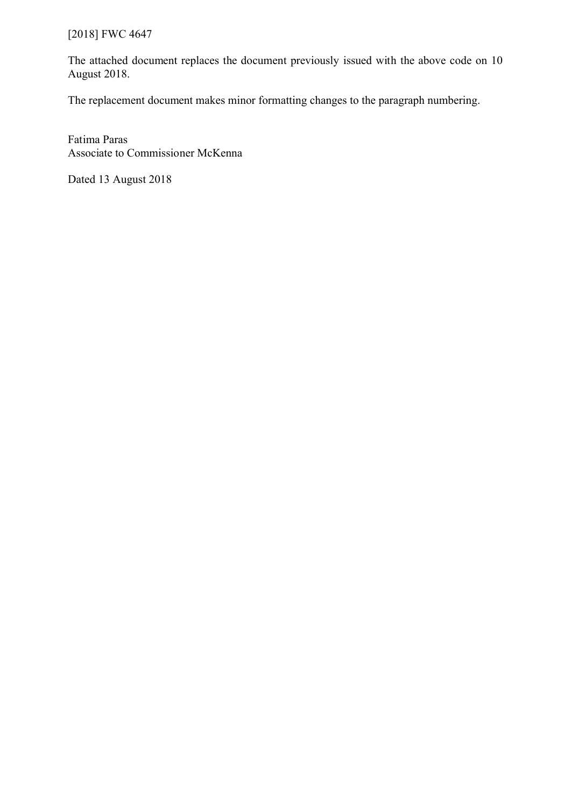# [2018] FWC 4647

The attached document replaces the document previously issued with the above code on 10 August 2018.

The replacement document makes minor formatting changes to the paragraph numbering.

Fatima Paras Associate to Commissioner McKenna

Dated 13 August 2018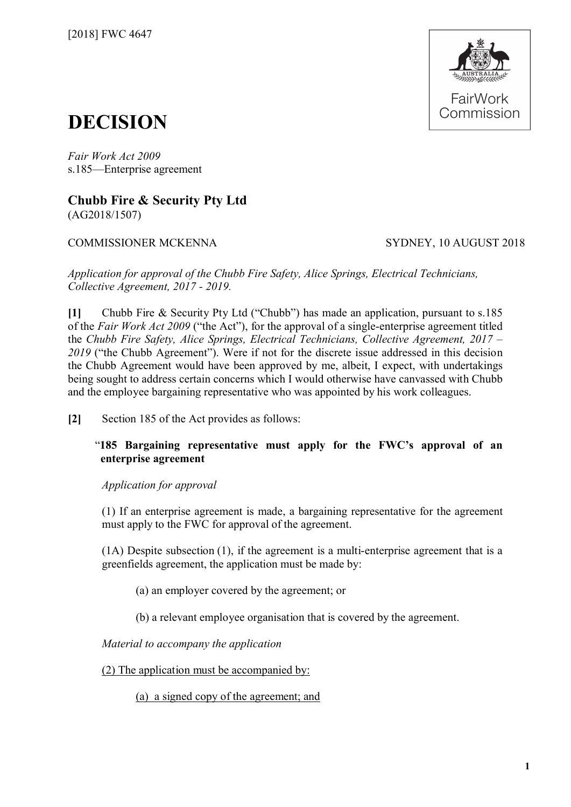

# **DECISION**

*Fair Work Act 2009*  s.185—Enterprise agreement

**Chubb Fire & Security Pty Ltd** (AG2018/1507)

# COMMISSIONER MCKENNA SYDNEY, 10 AUGUST 2018

*Application for approval of the Chubb Fire Safety, Alice Springs, Electrical Technicians, Collective Agreement, 2017 - 2019.*

**[1]** Chubb Fire & Security Pty Ltd ("Chubb") has made an application, pursuant to s.185 of the *Fair Work Act 2009* ("the Act"), for the approval of a single-enterprise agreement titled the *Chubb Fire Safety, Alice Springs, Electrical Technicians, Collective Agreement, 2017 – 2019* ("the Chubb Agreement"). Were if not for the discrete issue addressed in this decision the Chubb Agreement would have been approved by me, albeit, I expect, with undertakings being sought to address certain concerns which I would otherwise have canvassed with Chubb and the employee bargaining representative who was appointed by his work colleagues.

**[2]** Section 185 of the Act provides as follows:

"**185 Bargaining representative must apply for the FWC's approval of an enterprise agreement**

*Application for approval*

(1) If an enterprise agreement is made, a bargaining representative for the agreement must apply to the FWC for approval of the agreement.

(1A) Despite subsection (1), if the agreement is a multi-enterprise agreement that is a greenfields agreement, the application must be made by:

(a) an employer covered by the agreement; or

(b) a relevant employee organisation that is covered by the agreement.

*Material to accompany the application*

(2) The application must be accompanied by:

(a) a signed copy of the agreement; and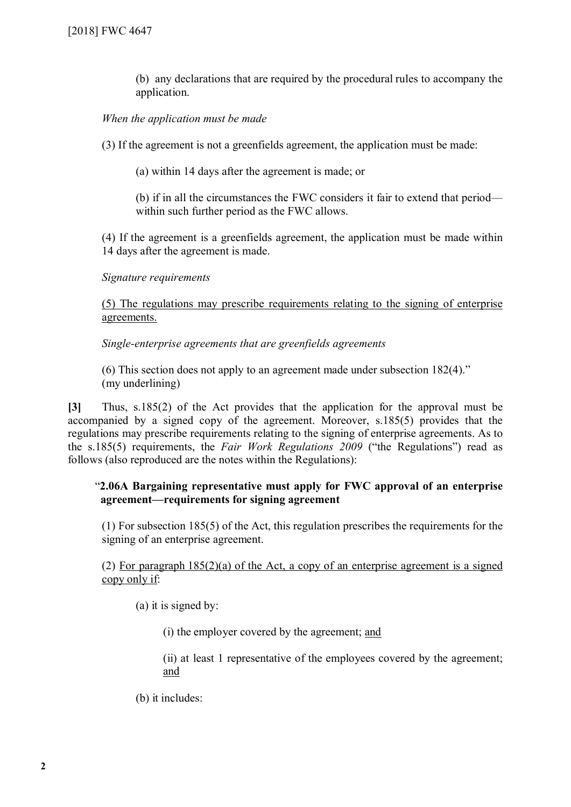(b) any declarations that are required by the procedural rules to accompany the application.

## *When the application must be made*

(3) If the agreement is not a greenfields agreement, the application must be made:

(a) within 14 days after the agreement is made; or

(b) if in all the circumstances the FWC considers it fair to extend that period within such further period as the FWC allows.

(4) If the agreement is a greenfields agreement, the application must be made within 14 days after the agreement is made.

#### *Signature requirements*

(5) The regulations may prescribe requirements relating to the signing of enterprise agreements.

*Single-enterprise agreements that are greenfields agreements*

(6) This section does not apply to an agreement made under subsection 182(4)." (my underlining)

**[3]** Thus, s.185(2) of the Act provides that the application for the approval must be accompanied by a signed copy of the agreement. Moreover, s.185(5) provides that the regulations may prescribe requirements relating to the signing of enterprise agreements. As to the s.185(5) requirements, the *Fair Work Regulations 2009* ("the Regulations") read as follows (also reproduced are the notes within the Regulations):

## "**2.06A Bargaining representative must apply for FWC approval of an enterprise agreement—requirements for signing agreement**

(1) For subsection 185(5) of the Act, this regulation prescribes the requirements for the signing of an enterprise agreement.

(2) For paragraph 185(2)(a) of the Act, a copy of an enterprise agreement is a signed copy only if:

(a) it is signed by:

(i) the employer covered by the agreement; and

(ii) at least 1 representative of the employees covered by the agreement; and

(b) it includes: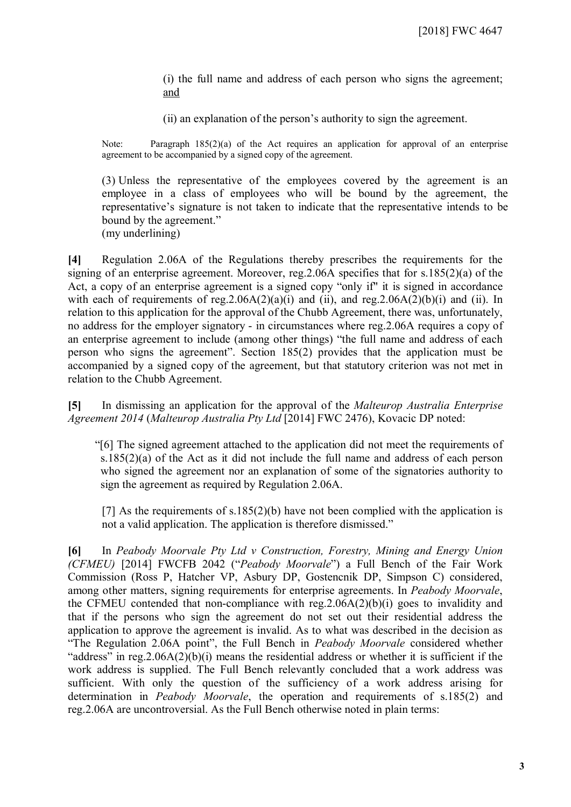(i) the full name and address of each person who signs the agreement; and

(ii) an explanation of the person's authority to sign the agreement.

Note: Paragraph  $185(2)(a)$  of the Act requires an application for approval of an enterprise agreement to be accompanied by a signed copy of the agreement.

(3) Unless the representative of the employees covered by the agreement is an employee in a class of employees who will be bound by the agreement, the representative's signature is not taken to indicate that the representative intends to be bound by the agreement." (my underlining)

**[4]** Regulation 2.06A of the Regulations thereby prescribes the requirements for the signing of an enterprise agreement. Moreover, reg.2.06A specifies that for s.185(2)(a) of the Act, a copy of an enterprise agreement is a signed copy "only if" it is signed in accordance with each of requirements of reg.  $2.06A(2)(a)(i)$  and (ii), and reg.  $2.06A(2)(b)(i)$  and (ii). In relation to this application for the approval of the Chubb Agreement, there was, unfortunately, no address for the employer signatory - in circumstances where reg.2.06A requires a copy of an enterprise agreement to include (among other things) "the full name and address of each person who signs the agreement". Section 185(2) provides that the application must be accompanied by a signed copy of the agreement, but that statutory criterion was not met in relation to the Chubb Agreement.

**[5]** In dismissing an application for the approval of the *Malteurop Australia Enterprise Agreement 2014* (*Malteurop Australia Pty Ltd* [2014] FWC 2476), Kovacic DP noted:

"[6] The signed agreement attached to the application did not meet the requirements of s.185(2)(a) of the Act as it did not include the full name and address of each person who signed the agreement nor an explanation of some of the signatories authority to sign the agreement as required by Regulation 2.06A.

[7] As the requirements of s.185(2)(b) have not been complied with the application is not a valid application. The application is therefore dismissed."

**[6]** In *Peabody Moorvale Pty Ltd v Construction, Forestry, Mining and Energy Union (CFMEU)* [2014] FWCFB 2042 ("*Peabody Moorvale*") a Full Bench of the Fair Work Commission (Ross P, Hatcher VP, Asbury DP, Gostencnik DP, Simpson C) considered, among other matters, signing requirements for enterprise agreements. In *Peabody Moorvale*, the CFMEU contended that non-compliance with reg.2.06A(2)(b)(i) goes to invalidity and that if the persons who sign the agreement do not set out their residential address the application to approve the agreement is invalid. As to what was described in the decision as "The Regulation 2.06A point", the Full Bench in *Peabody Moorvale* considered whether "address" in reg.2.06A(2)(b)(i) means the residential address or whether it is sufficient if the work address is supplied. The Full Bench relevantly concluded that a work address was sufficient. With only the question of the sufficiency of a work address arising for determination in *Peabody Moorvale*, the operation and requirements of s.185(2) and reg.2.06A are uncontroversial. As the Full Bench otherwise noted in plain terms: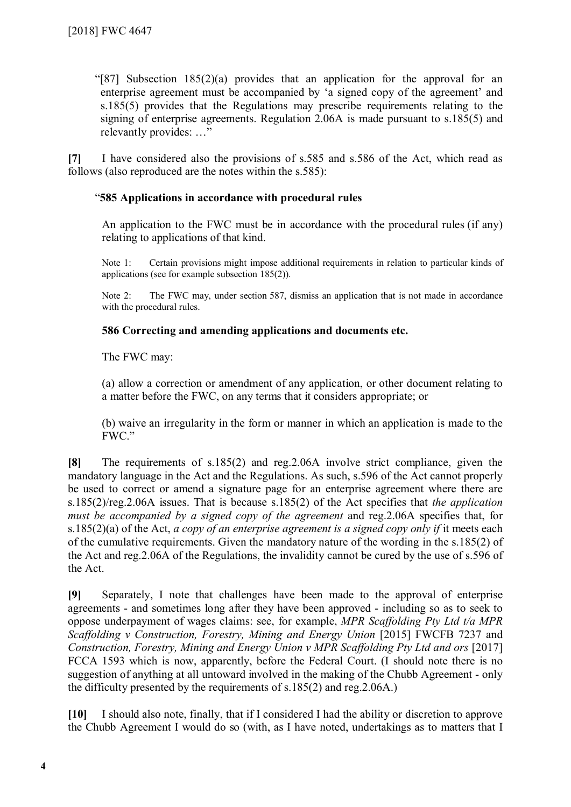"[87] Subsection 185(2)(a) provides that an application for the approval for an enterprise agreement must be accompanied by 'a signed copy of the agreement' and s.185(5) provides that the Regulations may prescribe requirements relating to the signing of enterprise agreements. Regulation 2.06A is made pursuant to s.185(5) and relevantly provides: …"

**[7]** I have considered also the provisions of s.585 and s.586 of the Act, which read as follows (also reproduced are the notes within the s.585):

## "**585 Applications in accordance with procedural rules**

An application to the FWC must be in accordance with the procedural rules (if any) relating to applications of that kind.

Note 1: Certain provisions might impose additional requirements in relation to particular kinds of applications (see for example subsection 185(2)).

Note 2: The FWC may, under section 587, dismiss an application that is not made in accordance with the procedural rules.

### **586 Correcting and amending applications and documents etc.**

The FWC may:

(a) allow a correction or amendment of any application, or other document relating to a matter before the FWC, on any terms that it considers appropriate; or

(b) waive an irregularity in the form or manner in which an application is made to the FWC."

**[8]** The requirements of s.185(2) and reg.2.06A involve strict compliance, given the mandatory language in the Act and the Regulations. As such, s.596 of the Act cannot properly be used to correct or amend a signature page for an enterprise agreement where there are s.185(2)/reg.2.06A issues. That is because s.185(2) of the Act specifies that *the application must be accompanied by a signed copy of the agreement* and reg.2.06A specifies that, for s.185(2)(a) of the Act, *a copy of an enterprise agreement is a signed copy only if* it meets each of the cumulative requirements. Given the mandatory nature of the wording in the s.185(2) of the Act and reg.2.06A of the Regulations, the invalidity cannot be cured by the use of s.596 of the Act.

**[9]** Separately, I note that challenges have been made to the approval of enterprise agreements - and sometimes long after they have been approved - including so as to seek to oppose underpayment of wages claims: see, for example, *MPR Scaffolding Pty Ltd t/a MPR Scaffolding v Construction, Forestry, Mining and Energy Union* [2015] FWCFB 7237 and *Construction, Forestry, Mining and Energy Union v MPR Scaffolding Pty Ltd and ors* [2017] FCCA 1593 which is now, apparently, before the Federal Court. (I should note there is no suggestion of anything at all untoward involved in the making of the Chubb Agreement - only the difficulty presented by the requirements of s.185(2) and reg.2.06A.)

**[10]** I should also note, finally, that if I considered I had the ability or discretion to approve the Chubb Agreement I would do so (with, as I have noted, undertakings as to matters that I